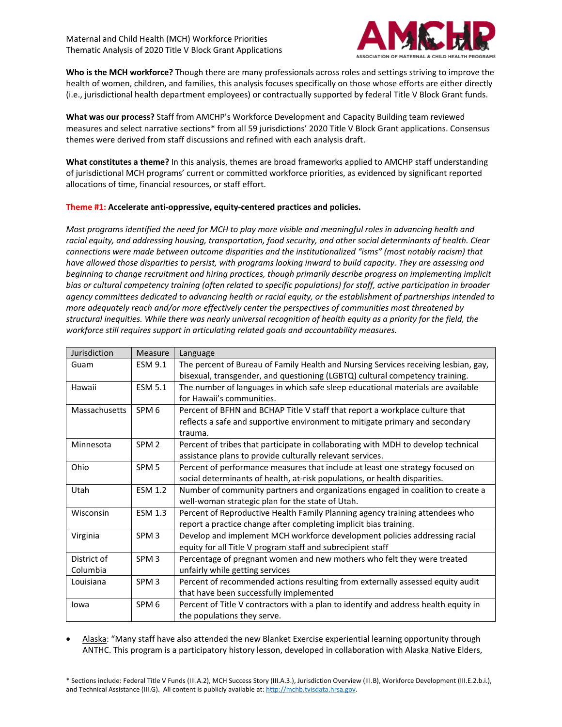Maternal and Child Health (MCH) Workforce Priorities Thematic Analysis of 2020 Title V Block Grant Applications



**Who is the MCH workforce?** Though there are many professionals across roles and settings striving to improve the health of women, children, and families, this analysis focuses specifically on those whose efforts are either directly (i.e., jurisdictional health department employees) or contractually supported by federal Title V Block Grant funds.

**What was our process?** Staff from AMCHP's Workforce Development and Capacity Building team reviewed measures and select narrative sections\* from all 59 jurisdictions' 2020 Title V Block Grant applications. Consensus themes were derived from staff discussions and refined with each analysis draft.

**What constitutes a theme?** In this analysis, themes are broad frameworks applied to AMCHP staff understanding of jurisdictional MCH programs' current or committed workforce priorities, as evidenced by significant reported allocations of time, financial resources, or staff effort.

## **Theme #1: Accelerate anti-oppressive, equity-centered practices and policies.**

*Most programs identified the need for MCH to play more visible and meaningful roles in advancing health and racial equity, and addressing housing, transportation, food security, and other social determinants of health. Clear connections were made between outcome disparities and the institutionalized "isms" (most notably racism) that have allowed those disparities to persist, with programs looking inward to build capacity. They are assessing and beginning to change recruitment and hiring practices, though primarily describe progress on implementing implicit bias or cultural competency training (often related to specific populations) for staff, active participation in broader agency committees dedicated to advancing health or racial equity, or the establishment of partnerships intended to more adequately reach and/or more effectively center the perspectives of communities most threatened by structural inequities. While there was nearly universal recognition of health equity as a priority for the field, the workforce still requires support in articulating related goals and accountability measures.*

| Jurisdiction  | Measure          | Language                                                                            |
|---------------|------------------|-------------------------------------------------------------------------------------|
| Guam          | <b>ESM 9.1</b>   | The percent of Bureau of Family Health and Nursing Services receiving lesbian, gay, |
|               |                  | bisexual, transgender, and questioning (LGBTQ) cultural competency training.        |
| Hawaii        | <b>ESM 5.1</b>   | The number of languages in which safe sleep educational materials are available     |
|               |                  | for Hawaii's communities.                                                           |
| Massachusetts | SPM <sub>6</sub> | Percent of BFHN and BCHAP Title V staff that report a workplace culture that        |
|               |                  | reflects a safe and supportive environment to mitigate primary and secondary        |
|               |                  | trauma.                                                                             |
| Minnesota     | SPM <sub>2</sub> | Percent of tribes that participate in collaborating with MDH to develop technical   |
|               |                  | assistance plans to provide culturally relevant services.                           |
| Ohio          | SPM <sub>5</sub> | Percent of performance measures that include at least one strategy focused on       |
|               |                  | social determinants of health, at-risk populations, or health disparities.          |
| Utah          | <b>ESM 1.2</b>   | Number of community partners and organizations engaged in coalition to create a     |
|               |                  | well-woman strategic plan for the state of Utah.                                    |
| Wisconsin     | <b>ESM 1.3</b>   | Percent of Reproductive Health Family Planning agency training attendees who        |
|               |                  | report a practice change after completing implicit bias training.                   |
| Virginia      | SPM <sub>3</sub> | Develop and implement MCH workforce development policies addressing racial          |
|               |                  | equity for all Title V program staff and subrecipient staff                         |
| District of   | SPM <sub>3</sub> | Percentage of pregnant women and new mothers who felt they were treated             |
| Columbia      |                  | unfairly while getting services                                                     |
| Louisiana     | SPM <sub>3</sub> | Percent of recommended actions resulting from externally assessed equity audit      |
|               |                  | that have been successfully implemented                                             |
| lowa          | SPM <sub>6</sub> | Percent of Title V contractors with a plan to identify and address health equity in |
|               |                  | the populations they serve.                                                         |

• Alaska: "Many staff have also attended the new Blanket Exercise experiential learning opportunity through ANTHC. This program is a participatory history lesson, developed in collaboration with Alaska Native Elders,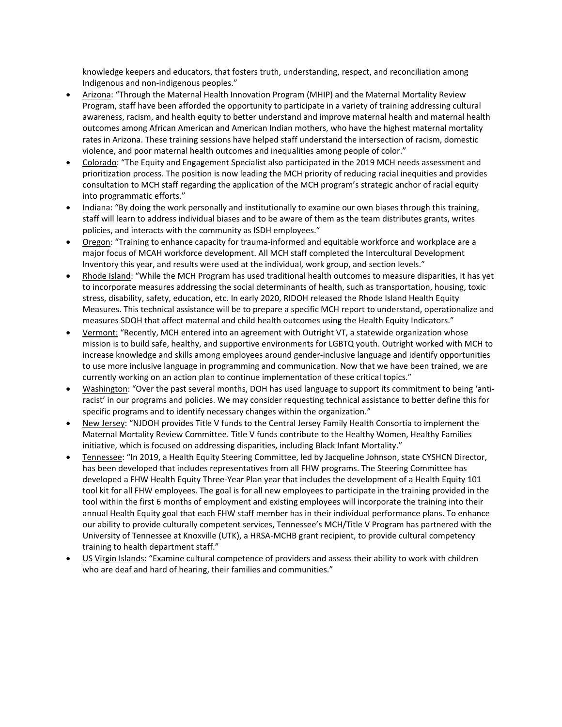knowledge keepers and educators, that fosters truth, understanding, respect, and reconciliation among Indigenous and non-indigenous peoples."

- Arizona: "Through the Maternal Health Innovation Program (MHIP) and the Maternal Mortality Review Program, staff have been afforded the opportunity to participate in a variety of training addressing cultural awareness, racism, and health equity to better understand and improve maternal health and maternal health outcomes among African American and American Indian mothers, who have the highest maternal mortality rates in Arizona. These training sessions have helped staff understand the intersection of racism, domestic violence, and poor maternal health outcomes and inequalities among people of color."
- Colorado: "The Equity and Engagement Specialist also participated in the 2019 MCH needs assessment and prioritization process. The position is now leading the MCH priority of reducing racial inequities and provides consultation to MCH staff regarding the application of the MCH program's strategic anchor of racial equity into programmatic efforts."
- Indiana: "By doing the work personally and institutionally to examine our own biases through this training, staff will learn to address individual biases and to be aware of them as the team distributes grants, writes policies, and interacts with the community as ISDH employees."
- Oregon: "Training to enhance capacity for trauma-informed and equitable workforce and workplace are a major focus of MCAH workforce development. All MCH staff completed the Intercultural Development Inventory this year, and results were used at the individual, work group, and section levels."
- Rhode Island: "While the MCH Program has used traditional health outcomes to measure disparities, it has yet to incorporate measures addressing the social determinants of health, such as transportation, housing, toxic stress, disability, safety, education, etc. In early 2020, RIDOH released the Rhode Island Health Equity Measures. This technical assistance will be to prepare a specific MCH report to understand, operationalize and measures SDOH that affect maternal and child health outcomes using the Health Equity Indicators."
- Vermont: "Recently, MCH entered into an agreement with Outright VT, a statewide organization whose mission is to build safe, healthy, and supportive environments for LGBTQ youth. Outright worked with MCH to increase knowledge and skills among employees around gender-inclusive language and identify opportunities to use more inclusive language in programming and communication. Now that we have been trained, we are currently working on an action plan to continue implementation of these critical topics."
- Washington: "Over the past several months, DOH has used language to support its commitment to being 'antiracist' in our programs and policies. We may consider requesting technical assistance to better define this for specific programs and to identify necessary changes within the organization."
- New Jersey: "NJDOH provides Title V funds to the Central Jersey Family Health Consortia to implement the Maternal Mortality Review Committee. Title V funds contribute to the Healthy Women, Healthy Families initiative, which is focused on addressing disparities, including Black Infant Mortality."
- Tennessee: "In 2019, a Health Equity Steering Committee, led by Jacqueline Johnson, state CYSHCN Director, has been developed that includes representatives from all FHW programs. The Steering Committee has developed a FHW Health Equity Three-Year Plan year that includes the development of a Health Equity 101 tool kit for all FHW employees. The goal is for all new employees to participate in the training provided in the tool within the first 6 months of employment and existing employees will incorporate the training into their annual Health Equity goal that each FHW staff member has in their individual performance plans. To enhance our ability to provide culturally competent services, Tennessee's MCH/Title V Program has partnered with the University of Tennessee at Knoxville (UTK), a HRSA-MCHB grant recipient, to provide cultural competency training to health department staff."
- US Virgin Islands: "Examine cultural competence of providers and assess their ability to work with children who are deaf and hard of hearing, their families and communities."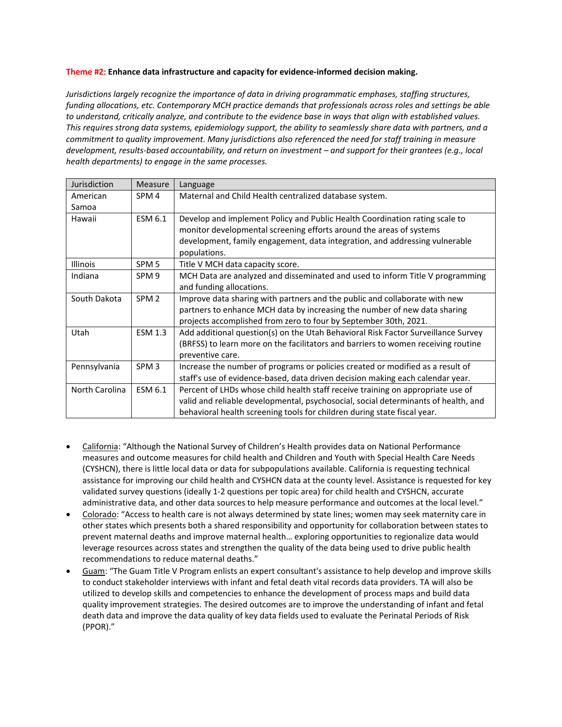## **Theme #2: Enhance data infrastructure and capacity for evidence-informed decision making.**

*Jurisdictions largely recognize the importance of data in driving programmatic emphases, staffing structures, funding allocations, etc. Contemporary MCH practice demands that professionals across roles and settings be able to understand, critically analyze, and contribute to the evidence base in ways that align with established values. This requires strong data systems, epidemiology support, the ability to seamlessly share data with partners, and a commitment to quality improvement. Many jurisdictions also referenced the need for staff training in measure development, results-based accountability, and return on investment – and support for their grantees (e.g., local health departments) to engage in the same processes.*

| Jurisdiction    | Measure          | Language                                                                           |
|-----------------|------------------|------------------------------------------------------------------------------------|
| American        | SPM <sub>4</sub> | Maternal and Child Health centralized database system.                             |
| Samoa           |                  |                                                                                    |
| Hawaii          | ESM 6.1          | Develop and implement Policy and Public Health Coordination rating scale to        |
|                 |                  | monitor developmental screening efforts around the areas of systems                |
|                 |                  | development, family engagement, data integration, and addressing vulnerable        |
|                 |                  | populations.                                                                       |
| <b>Illinois</b> | SPM <sub>5</sub> | Title V MCH data capacity score.                                                   |
| Indiana         | SPM 9            | MCH Data are analyzed and disseminated and used to inform Title V programming      |
|                 |                  | and funding allocations.                                                           |
| South Dakota    | SPM <sub>2</sub> | Improve data sharing with partners and the public and collaborate with new         |
|                 |                  | partners to enhance MCH data by increasing the number of new data sharing          |
|                 |                  | projects accomplished from zero to four by September 30th, 2021.                   |
| Utah            | <b>ESM 1.3</b>   | Add additional question(s) on the Utah Behavioral Risk Factor Surveillance Survey  |
|                 |                  | (BRFSS) to learn more on the facilitators and barriers to women receiving routine  |
|                 |                  | preventive care.                                                                   |
| Pennsylvania    | SPM <sub>3</sub> | Increase the number of programs or policies created or modified as a result of     |
|                 |                  | staff's use of evidence-based, data driven decision making each calendar year.     |
| North Carolina  | ESM 6.1          | Percent of LHDs whose child health staff receive training on appropriate use of    |
|                 |                  | valid and reliable developmental, psychosocial, social determinants of health, and |
|                 |                  | behavioral health screening tools for children during state fiscal year.           |

- California: "Although the National Survey of Children's Health provides data on National Performance measures and outcome measures for child health and Children and Youth with Special Health Care Needs (CYSHCN), there is little local data or data for subpopulations available. California is requesting technical assistance for improving our child health and CYSHCN data at the county level. Assistance is requested for key validated survey questions (ideally 1-2 questions per topic area) for child health and CYSHCN, accurate administrative data, and other data sources to help measure performance and outcomes at the local level."
- Colorado: "Access to health care is not always determined by state lines; women may seek maternity care in other states which presents both a shared responsibility and opportunity for collaboration between states to prevent maternal deaths and improve maternal health… exploring opportunities to regionalize data would leverage resources across states and strengthen the quality of the data being used to drive public health recommendations to reduce maternal deaths."
- Guam: "The Guam Title V Program enlists an expert consultant's assistance to help develop and improve skills to conduct stakeholder interviews with infant and fetal death vital records data providers. TA will also be utilized to develop skills and competencies to enhance the development of process maps and build data quality improvement strategies. The desired outcomes are to improve the understanding of infant and fetal death data and improve the data quality of key data fields used to evaluate the Perinatal Periods of Risk (PPOR)."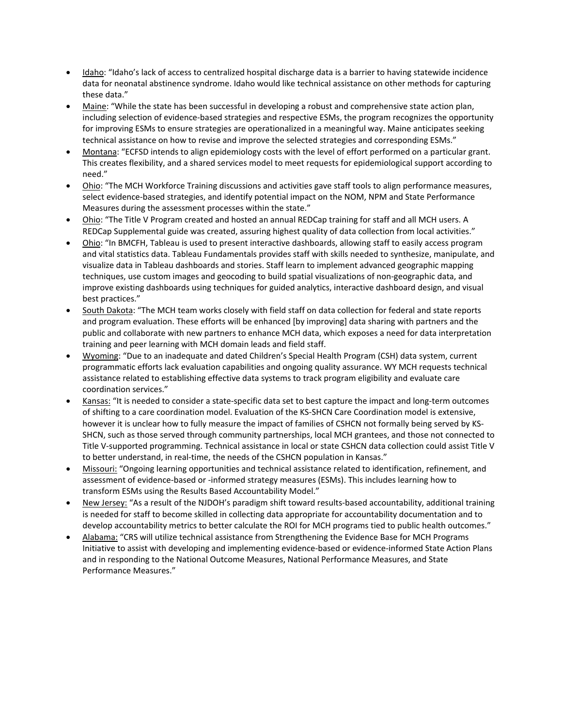- Idaho: "Idaho's lack of access to centralized hospital discharge data is a barrier to having statewide incidence data for neonatal abstinence syndrome. Idaho would like technical assistance on other methods for capturing these data."
- Maine: "While the state has been successful in developing a robust and comprehensive state action plan, including selection of evidence-based strategies and respective ESMs, the program recognizes the opportunity for improving ESMs to ensure strategies are operationalized in a meaningful way. Maine anticipates seeking technical assistance on how to revise and improve the selected strategies and corresponding ESMs."
- Montana: "ECFSD intends to align epidemiology costs with the level of effort performed on a particular grant. This creates flexibility, and a shared services model to meet requests for epidemiological support according to need."
- Ohio: "The MCH Workforce Training discussions and activities gave staff tools to align performance measures, select evidence-based strategies, and identify potential impact on the NOM, NPM and State Performance Measures during the assessment processes within the state."
- Ohio: "The Title V Program created and hosted an annual REDCap training for staff and all MCH users. A REDCap Supplemental guide was created, assuring highest quality of data collection from local activities."
- Ohio: "In BMCFH, Tableau is used to present interactive dashboards, allowing staff to easily access program and vital statistics data. Tableau Fundamentals provides staff with skills needed to synthesize, manipulate, and visualize data in Tableau dashboards and stories. Staff learn to implement advanced geographic mapping techniques, use custom images and geocoding to build spatial visualizations of non-geographic data, and improve existing dashboards using techniques for guided analytics, interactive dashboard design, and visual best practices."
- South Dakota: "The MCH team works closely with field staff on data collection for federal and state reports and program evaluation. These efforts will be enhanced [by improving] data sharing with partners and the public and collaborate with new partners to enhance MCH data, which exposes a need for data interpretation training and peer learning with MCH domain leads and field staff.
- Wyoming: "Due to an inadequate and dated Children's Special Health Program (CSH) data system, current programmatic efforts lack evaluation capabilities and ongoing quality assurance. WY MCH requests technical assistance related to establishing effective data systems to track program eligibility and evaluate care coordination services."
- Kansas: "It is needed to consider a state-specific data set to best capture the impact and long-term outcomes of shifting to a care coordination model. Evaluation of the KS-SHCN Care Coordination model is extensive, however it is unclear how to fully measure the impact of families of CSHCN not formally being served by KS-SHCN, such as those served through community partnerships, local MCH grantees, and those not connected to Title V-supported programming. Technical assistance in local or state CSHCN data collection could assist Title V to better understand, in real-time, the needs of the CSHCN population in Kansas."
- Missouri: "Ongoing learning opportunities and technical assistance related to identification, refinement, and assessment of evidence-based or -informed strategy measures (ESMs). This includes learning how to transform ESMs using the Results Based Accountability Model."
- New Jersey: "As a result of the NJDOH's paradigm shift toward results-based accountability, additional training is needed for staff to become skilled in collecting data appropriate for accountability documentation and to develop accountability metrics to better calculate the ROI for MCH programs tied to public health outcomes."
- Alabama: "CRS will utilize technical assistance from Strengthening the Evidence Base for MCH Programs Initiative to assist with developing and implementing evidence-based or evidence-informed State Action Plans and in responding to the National Outcome Measures, National Performance Measures, and State Performance Measures."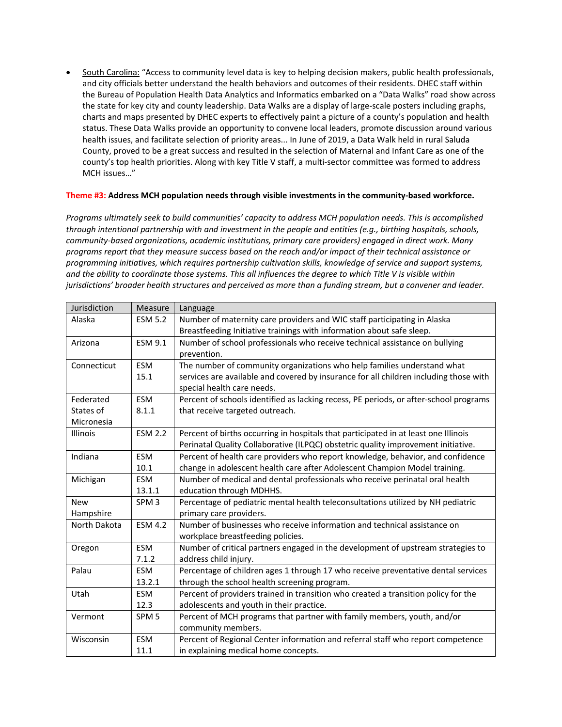• South Carolina: "Access to community level data is key to helping decision makers, public health professionals, and city officials better understand the health behaviors and outcomes of their residents. DHEC staff within the Bureau of Population Health Data Analytics and Informatics embarked on a "Data Walks" road show across the state for key city and county leadership. Data Walks are a display of large-scale posters including graphs, charts and maps presented by DHEC experts to effectively paint a picture of a county's population and health status. These Data Walks provide an opportunity to convene local leaders, promote discussion around various health issues, and facilitate selection of priority areas... In June of 2019, a Data Walk held in rural Saluda County, proved to be a great success and resulted in the selection of Maternal and Infant Care as one of the county's top health priorities. Along with key Title V staff, a multi-sector committee was formed to address MCH issues…"

## **Theme #3: Address MCH population needs through visible investments in the community-based workforce.**

*Programs ultimately seek to build communities' capacity to address MCH population needs. This is accomplished through intentional partnership with and investment in the people and entities (e.g., birthing hospitals, schools, community-based organizations, academic institutions, primary care providers) engaged in direct work. Many programs report that they measure success based on the reach and/or impact of their technical assistance or programming initiatives, which requires partnership cultivation skills, knowledge of service and support systems, and the ability to coordinate those systems. This all influences the degree to which Title V is visible within jurisdictions' broader health structures and perceived as more than a funding stream, but a convener and leader.*

| Jurisdiction | Measure          | Language                                                                              |
|--------------|------------------|---------------------------------------------------------------------------------------|
| Alaska       | <b>ESM 5.2</b>   | Number of maternity care providers and WIC staff participating in Alaska              |
|              |                  | Breastfeeding Initiative trainings with information about safe sleep.                 |
| Arizona      | ESM 9.1          | Number of school professionals who receive technical assistance on bullying           |
|              |                  | prevention.                                                                           |
| Connecticut  | <b>ESM</b>       | The number of community organizations who help families understand what               |
|              | 15.1             | services are available and covered by insurance for all children including those with |
|              |                  | special health care needs.                                                            |
| Federated    | <b>ESM</b>       | Percent of schools identified as lacking recess, PE periods, or after-school programs |
| States of    | 8.1.1            | that receive targeted outreach.                                                       |
| Micronesia   |                  |                                                                                       |
| Illinois     | <b>ESM 2.2</b>   | Percent of births occurring in hospitals that participated in at least one Illinois   |
|              |                  | Perinatal Quality Collaborative (ILPQC) obstetric quality improvement initiative.     |
| Indiana      | <b>ESM</b>       | Percent of health care providers who report knowledge, behavior, and confidence       |
|              | 10.1             | change in adolescent health care after Adolescent Champion Model training.            |
| Michigan     | <b>ESM</b>       | Number of medical and dental professionals who receive perinatal oral health          |
|              | 13.1.1           | education through MDHHS.                                                              |
| <b>New</b>   | SPM <sub>3</sub> | Percentage of pediatric mental health teleconsultations utilized by NH pediatric      |
| Hampshire    |                  | primary care providers.                                                               |
| North Dakota | <b>ESM 4.2</b>   | Number of businesses who receive information and technical assistance on              |
|              |                  | workplace breastfeeding policies.                                                     |
| Oregon       | <b>ESM</b>       | Number of critical partners engaged in the development of upstream strategies to      |
|              | 7.1.2            | address child injury.                                                                 |
| Palau        | <b>ESM</b>       | Percentage of children ages 1 through 17 who receive preventative dental services     |
|              | 13.2.1           | through the school health screening program.                                          |
| Utah         | <b>ESM</b>       | Percent of providers trained in transition who created a transition policy for the    |
|              | 12.3             | adolescents and youth in their practice.                                              |
| Vermont      | SPM <sub>5</sub> | Percent of MCH programs that partner with family members, youth, and/or               |
|              |                  | community members.                                                                    |
| Wisconsin    | <b>ESM</b>       | Percent of Regional Center information and referral staff who report competence       |
|              | 11.1             | in explaining medical home concepts.                                                  |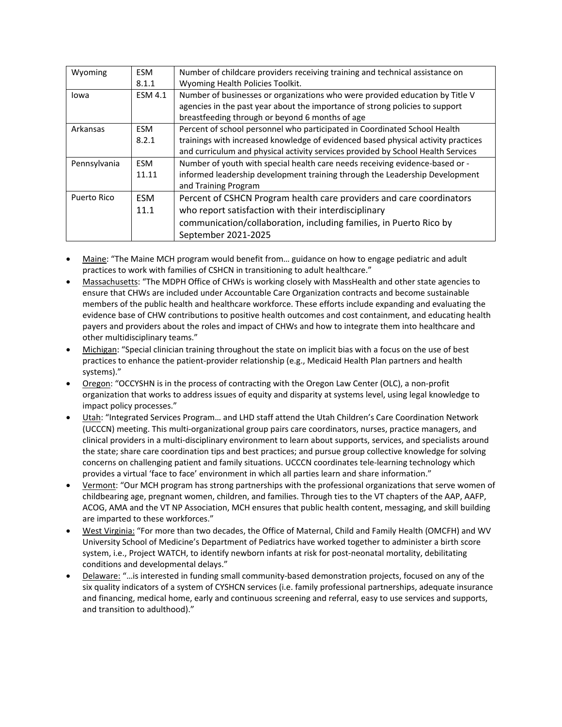| Wyoming      | <b>ESM</b>     | Number of childcare providers receiving training and technical assistance on      |
|--------------|----------------|-----------------------------------------------------------------------------------|
|              | 8.1.1          | Wyoming Health Policies Toolkit.                                                  |
| lowa         | <b>ESM 4.1</b> | Number of businesses or organizations who were provided education by Title V      |
|              |                | agencies in the past year about the importance of strong policies to support      |
|              |                | breastfeeding through or beyond 6 months of age                                   |
| Arkansas     | <b>ESM</b>     | Percent of school personnel who participated in Coordinated School Health         |
|              | 8.2.1          | trainings with increased knowledge of evidenced based physical activity practices |
|              |                | and curriculum and physical activity services provided by School Health Services  |
| Pennsylvania | <b>ESM</b>     | Number of youth with special health care needs receiving evidence-based or -      |
|              | 11.11          | informed leadership development training through the Leadership Development       |
|              |                | and Training Program                                                              |
| Puerto Rico  | <b>ESM</b>     | Percent of CSHCN Program health care providers and care coordinators              |
|              | 11.1           | who report satisfaction with their interdisciplinary                              |
|              |                | communication/collaboration, including families, in Puerto Rico by                |
|              |                | September 2021-2025                                                               |

- Maine: "The Maine MCH program would benefit from… guidance on how to engage pediatric and adult practices to work with families of CSHCN in transitioning to adult healthcare."
- Massachusetts: "The MDPH Office of CHWs is working closely with MassHealth and other state agencies to ensure that CHWs are included under Accountable Care Organization contracts and become sustainable members of the public health and healthcare workforce. These efforts include expanding and evaluating the evidence base of CHW contributions to positive health outcomes and cost containment, and educating health payers and providers about the roles and impact of CHWs and how to integrate them into healthcare and other multidisciplinary teams."
- Michigan: "Special clinician training throughout the state on implicit bias with a focus on the use of best practices to enhance the patient-provider relationship (e.g., Medicaid Health Plan partners and health systems)."
- Oregon: "OCCYSHN is in the process of contracting with the Oregon Law Center (OLC), a non-profit organization that works to address issues of equity and disparity at systems level, using legal knowledge to impact policy processes."
- Utah: "Integrated Services Program… and LHD staff attend the Utah Children's Care Coordination Network (UCCCN) meeting. This multi-organizational group pairs care coordinators, nurses, practice managers, and clinical providers in a multi-disciplinary environment to learn about supports, services, and specialists around the state; share care coordination tips and best practices; and pursue group collective knowledge for solving concerns on challenging patient and family situations. UCCCN coordinates tele-learning technology which provides a virtual 'face to face' environment in which all parties learn and share information."
- Vermont: "Our MCH program has strong partnerships with the professional organizations that serve women of childbearing age, pregnant women, children, and families. Through ties to the VT chapters of the AAP, AAFP, ACOG, AMA and the VT NP Association, MCH ensures that public health content, messaging, and skill building are imparted to these workforces."
- West Virginia: "For more than two decades, the Office of Maternal, Child and Family Health (OMCFH) and WV University School of Medicine's Department of Pediatrics have worked together to administer a birth score system, i.e., Project WATCH, to identify newborn infants at risk for post-neonatal mortality, debilitating conditions and developmental delays."
- Delaware: "…is interested in funding small community-based demonstration projects, focused on any of the six quality indicators of a system of CYSHCN services (i.e. family professional partnerships, adequate insurance and financing, medical home, early and continuous screening and referral, easy to use services and supports, and transition to adulthood)."